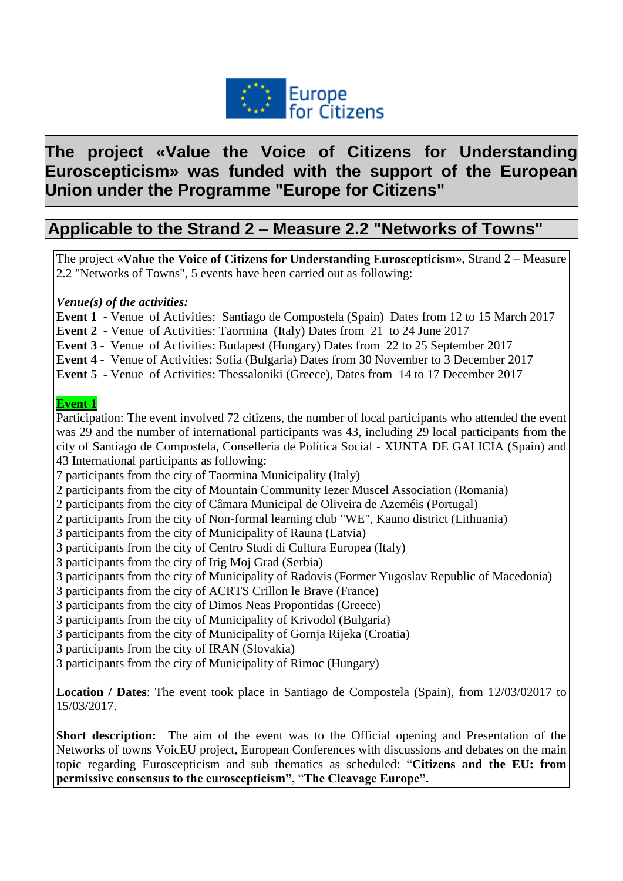

# **The project «Value the Voice of Citizens for Understanding Euroscepticism» was funded with the support of the European Union under the Programme "Europe for Citizens"**

# **Applicable to the Strand 2 – Measure 2.2 "Networks of Towns"**

The project «**Value the Voice of Citizens for Understanding Euroscepticism**», Strand 2 – Measure 2.2 "Networks of Towns", 5 events have been carried out as following:

*Venue(s) of the activities:*

**Event 1 -** Venue of Activities: Santiago de Compostela (Spain) Dates from 12 to 15 March 2017

**Event 2 -** Venue of Activities: Taormina (Italy) Dates from 21 to 24 June 2017

**Event 3 -** Venue of Activities: Budapest (Hungary) Dates from 22 to 25 September 2017

**Event 4 -** Venue of Activities: Sofia (Bulgaria) Dates from 30 November to 3 December 2017

**Event 5 -** Venue of Activities: Thessaloniki (Greece), Dates from 14 to 17 December 2017

#### **Event 1**

Participation: The event involved 72 citizens, the number of local participants who attended the event was 29 and the number of international participants was 43, including 29 local participants from the city of Santiago de Compostela, Conselleria de Política Social - XUNTA DE GALICIA (Spain) and 43 International participants as following:

7 participants from the city of Taormina Municipality (Italy)

2 participants from the city of Mountain Community Iezer Muscel Association (Romania)

2 participants from the city of Câmara Municipal de Oliveira de Azeméis (Portugal)

2 participants from the city of Non-formal learning club "WE", Kauno district (Lithuania)

3 participants from the city of Municipality of Rauna (Latvia)

3 participants from the city of Centro Studi di Cultura Europea (Italy)

3 participants from the city of Irig Moj Grad (Serbia)

3 participants from the city of Municipality of Radovis (Former Yugoslav Republic of Macedonia)

3 participants from the city of ACRTS Crillon le Brave (France)

3 participants from the city of Dimos Neas Propontidas (Greece)

3 participants from the city of Municipality of Krivodol (Bulgaria)

3 participants from the city of Municipality of Gornja Rijeka (Croatia)

3 participants from the city of IRAN (Slovakia)

3 participants from the city of Municipality of Rimoc (Hungary)

**Location / Dates**: The event took place in Santiago de Compostela (Spain), from 12/03/02017 to 15/03/2017.

**Short description:** The aim of the event was to the Official opening and Presentation of the Networks of towns VoicEU project, European Conferences with discussions and debates on the main topic regarding Euroscepticism and sub thematics as scheduled: "**Citizens and the EU: from permissive consensus to the euroscepticism",** "**The Cleavage Europe".**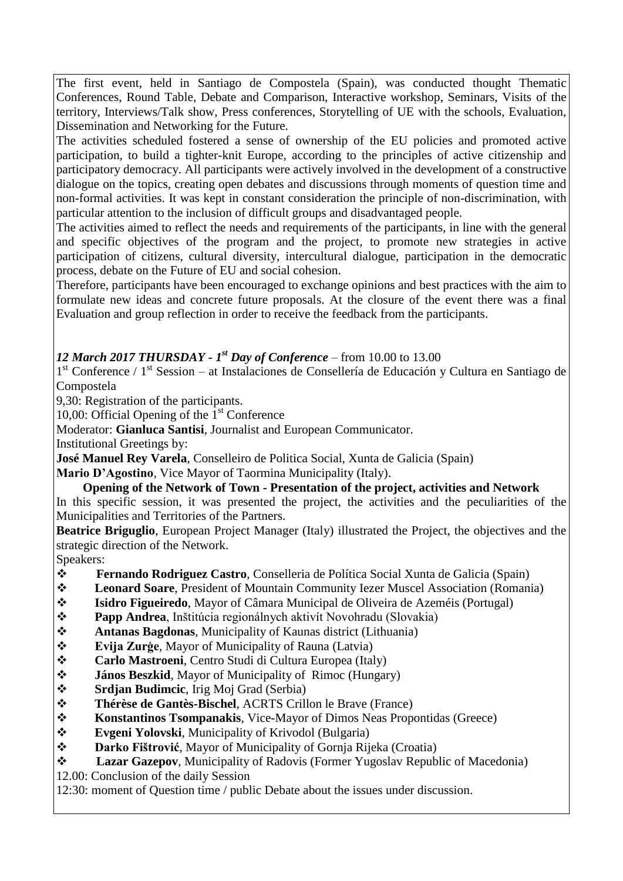The first event, held in Santiago de Compostela (Spain), was conducted thought Thematic Conferences, Round Table, Debate and Comparison, Interactive workshop, Seminars, Visits of the territory, Interviews/Talk show, Press conferences, Storytelling of UE with the schools, Evaluation, Dissemination and Networking for the Future.

The activities scheduled fostered a sense of ownership of the EU policies and promoted active participation, to build a tighter-knit Europe, according to the principles of active citizenship and participatory democracy. All participants were actively involved in the development of a constructive dialogue on the topics, creating open debates and discussions through moments of question time and non-formal activities. It was kept in constant consideration the principle of non-discrimination, with particular attention to the inclusion of difficult groups and disadvantaged people.

The activities aimed to reflect the needs and requirements of the participants, in line with the general and specific objectives of the program and the project, to promote new strategies in active participation of citizens, cultural diversity, intercultural dialogue, participation in the democratic process, debate on the Future of EU and social cohesion.

Therefore, participants have been encouraged to exchange opinions and best practices with the aim to formulate new ideas and concrete future proposals. At the closure of the event there was a final Evaluation and group reflection in order to receive the feedback from the participants.

### *12 March 2017 THURSDAY - 1 st Day of Conference* – from 10.00 to 13.00

1<sup>st</sup> Conference / 1<sup>st</sup> Session – at Instalaciones de Consellería de Educación y Cultura en Santiago de Compostela

9,30: Registration of the participants.

10,00: Official Opening of the  $1<sup>st</sup>$  Conference

Moderator: **Gianluca Santisi**, Journalist and European Communicator.

Institutional Greetings by:

**José Manuel Rey Varela**, Conselleiro de Politica Social, Xunta de Galicia (Spain)

**Mario D'Agostino**, Vice Mayor of Taormina Municipality (Italy).

**Opening of the Network of Town - Presentation of the project, activities and Network** In this specific session, it was presented the project, the activities and the peculiarities of the Municipalities and Territories of the Partners.

**Beatrice Briguglio**, European Project Manager (Italy) illustrated the Project, the objectives and the strategic direction of the Network.

Speakers:

- **Fernando Rodriguez Castro**, Conselleria de Política Social Xunta de Galicia (Spain)
- **Leonard Soare**, President of Mountain Community Iezer Muscel Association (Romania)
- **Isidro Figueiredo**, Mayor of Câmara Municipal de Oliveira de Azeméis (Portugal)
- **→ Papp Andrea**, Inštitúcia regionálnych aktivít Novohradu (Slovakia)
- **Antanas Bagdonas**, Municipality of Kaunas district (Lithuania)
- **Evija Zurģe**, Mayor of Municipality of Rauna (Latvia)
- **Carlo Mastroeni**, Centro Studi di Cultura Europea (Italy)
- $\div$  **János Beszkid**, Mayor of Municipality of Rimoc (Hungary)
- **Srdjan Budimcic**, Irig Moj Grad (Serbia)
- **Thérèse de Gantès-Bischel**, ACRTS Crillon le Brave (France)
- **Konstantinos Tsompanakis**, Vice-Mayor of Dimos Neas Propontidas (Greece)
- **Evgeni Yolovski**, Municipality of Krivodol (Bulgaria)
- **Darko Fištrović**, Mayor of Municipality of Gornja Rijeka (Croatia)
- **Lazar Gazepov**, Municipality of Radovis (Former Yugoslav Republic of Macedonia)

12.00: Conclusion of the daily Session

12:30: moment of Question time / public Debate about the issues under discussion.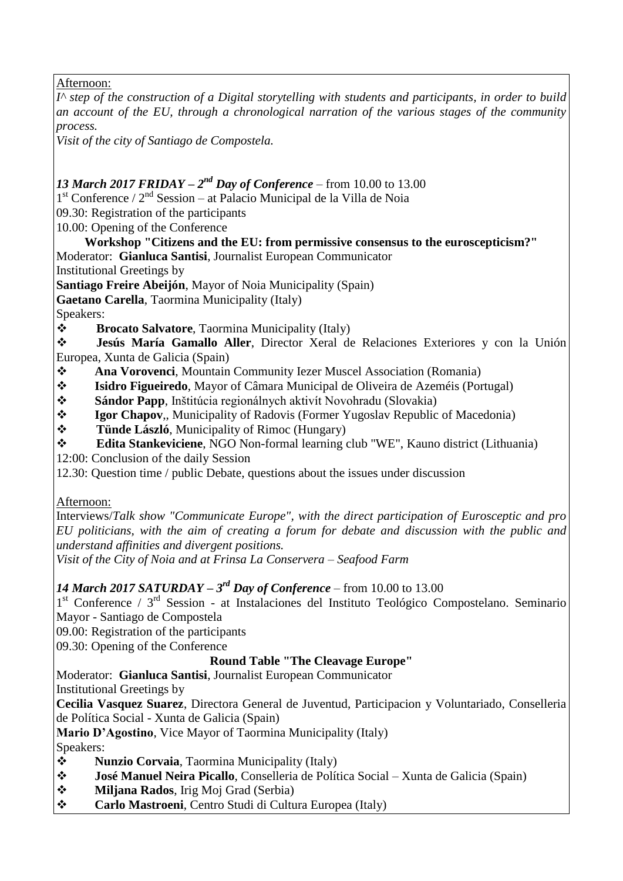Afternoon:

*I^ step of the construction of a Digital storytelling with students and participants, in order to build an account of the EU, through a chronological narration of the various stages of the community process.*

*Visit of the city of Santiago de Compostela.*

### **13 March 2017 FRIDAY** –  $2^{nd}$  Day of Conference – from 10.00 to 13.00

1<sup>st</sup> Conference / 2<sup>nd</sup> Session – at Palacio Municipal de la Villa de Noia

09.30: Registration of the participants

10.00: Opening of the Conference

**Workshop "Citizens and the EU: from permissive consensus to the euroscepticism?"** Moderator: **Gianluca Santisi**, Journalist European Communicator

Institutional Greetings by

**Santiago Freire Abeijón**, Mayor of Noia Municipality (Spain)

**Gaetano Carella**, Taormina Municipality (Italy)

Speakers:

**Brocato Salvatore**, Taormina Municipality (Italy)

 **Jesús María Gamallo Aller**, Director Xeral de Relaciones Exteriores y con la Unión Europea, Xunta de Galicia (Spain)

- **Ana Vorovenci**, Mountain Community Iezer Muscel Association (Romania)
- **Isidro Figueiredo**, Mayor of Câmara Municipal de Oliveira de Azeméis (Portugal)
- **Sándor Papp**, Inštitúcia regionálnych aktivít Novohradu (Slovakia)
- **Igor Chapov**,, Municipality of Radovis (Former Yugoslav Republic of Macedonia)
- **Tünde László**, Municipality of Rimoc (Hungary)
- **Edita Stankeviciene**, NGO Non-formal learning club "WE", Kauno district (Lithuania)

12:00: Conclusion of the daily Session

12.30: Question time / public Debate, questions about the issues under discussion

Afternoon:

Interviews/*Talk show "Communicate Europe", with the direct participation of Eurosceptic and pro EU politicians, with the aim of creating a forum for debate and discussion with the public and understand affinities and divergent positions.*

*Visit of the City of Noia and at Frinsa La Conservera – Seafood Farm*

### *14 March 2017 SATURDAY – 3 rd Day of Conference* – from 10.00 to 13.00

1<sup>st</sup> Conference / 3<sup>rd</sup> Session - at Instalaciones del Instituto Teológico Compostelano. Seminario Mayor - Santiago de Compostela

09.00: Registration of the participants

09.30: Opening of the Conference

### **Round Table "The Cleavage Europe"**

Moderator: **Gianluca Santisi**, Journalist European Communicator

Institutional Greetings by

**Cecilia Vasquez Suarez**, Directora General de Juventud, Participacion y Voluntariado, Conselleria de Política Social - Xunta de Galicia (Spain)

**Mario D'Agostino**, Vice Mayor of Taormina Municipality (Italy)

Speakers:

**1988 • Nunzio Corvaia**, Taormina Municipality (Italy)<br> **1988 • José Manuel Neira Picallo Conselleria de Polít** 

- **José Manuel Neira Picallo**, Conselleria de Política Social Xunta de Galicia (Spain)
- **Miljana Rados**, Irig Moj Grad (Serbia)
- **Carlo Mastroeni**, Centro Studi di Cultura Europea (Italy)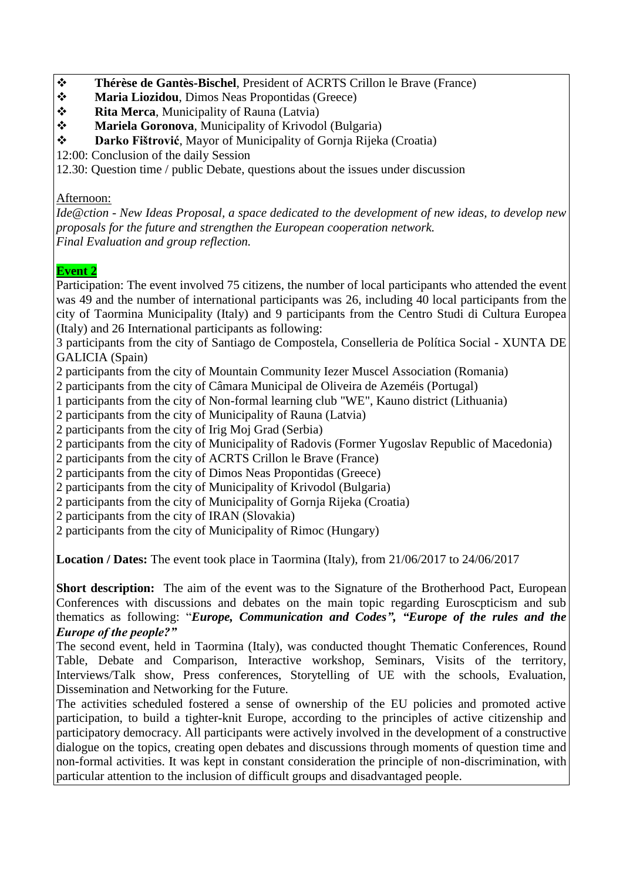- **Thérèse de Gantès-Bischel**, President of ACRTS Crillon le Brave (France)
- **Maria Liozidou**, Dimos Neas Propontidas (Greece)
- **❖ Rita Merca, Municipality of Rauna (Latvia)**
- **Mariela Goronova**, Municipality of Krivodol (Bulgaria)
- **Darko Fištrović**, Mayor of Municipality of Gornja Rijeka (Croatia)
- 12:00: Conclusion of the daily Session

12.30: Question time / public Debate, questions about the issues under discussion

#### Afternoon:

*Ide@ction - New Ideas Proposal, a space dedicated to the development of new ideas, to develop new proposals for the future and strengthen the European cooperation network. Final Evaluation and group reflection.* 

### **Event 2**

Participation: The event involved 75 citizens, the number of local participants who attended the event was 49 and the number of international participants was 26, including 40 local participants from the city of Taormina Municipality (Italy) and 9 participants from the Centro Studi di Cultura Europea (Italy) and 26 International participants as following:

3 participants from the city of Santiago de Compostela, Conselleria de Política Social - XUNTA DE GALICIA (Spain)

2 participants from the city of Mountain Community Iezer Muscel Association (Romania)

2 participants from the city of Câmara Municipal de Oliveira de Azeméis (Portugal)

1 participants from the city of Non-formal learning club "WE", Kauno district (Lithuania)

2 participants from the city of Municipality of Rauna (Latvia)

2 participants from the city of Irig Moj Grad (Serbia)

2 participants from the city of Municipality of Radovis (Former Yugoslav Republic of Macedonia)

2 participants from the city of ACRTS Crillon le Brave (France)

2 participants from the city of Dimos Neas Propontidas (Greece)

2 participants from the city of Municipality of Krivodol (Bulgaria)

2 participants from the city of Municipality of Gornja Rijeka (Croatia)

2 participants from the city of IRAN (Slovakia)

2 participants from the city of Municipality of Rimoc (Hungary)

**Location / Dates:** The event took place in Taormina (Italy), from 21/06/2017 to 24/06/2017

**Short description:** The aim of the event was to the Signature of the Brotherhood Pact, European Conferences with discussions and debates on the main topic regarding Euroscpticism and sub thematics as following: "*Europe, Communication and Codes", "Europe of the rules and the Europe of the people?"*

The second event, held in Taormina (Italy), was conducted thought Thematic Conferences, Round Table, Debate and Comparison, Interactive workshop, Seminars, Visits of the territory, Interviews/Talk show, Press conferences, Storytelling of UE with the schools, Evaluation, Dissemination and Networking for the Future.

The activities scheduled fostered a sense of ownership of the EU policies and promoted active participation, to build a tighter-knit Europe, according to the principles of active citizenship and participatory democracy. All participants were actively involved in the development of a constructive dialogue on the topics, creating open debates and discussions through moments of question time and non-formal activities. It was kept in constant consideration the principle of non-discrimination, with particular attention to the inclusion of difficult groups and disadvantaged people.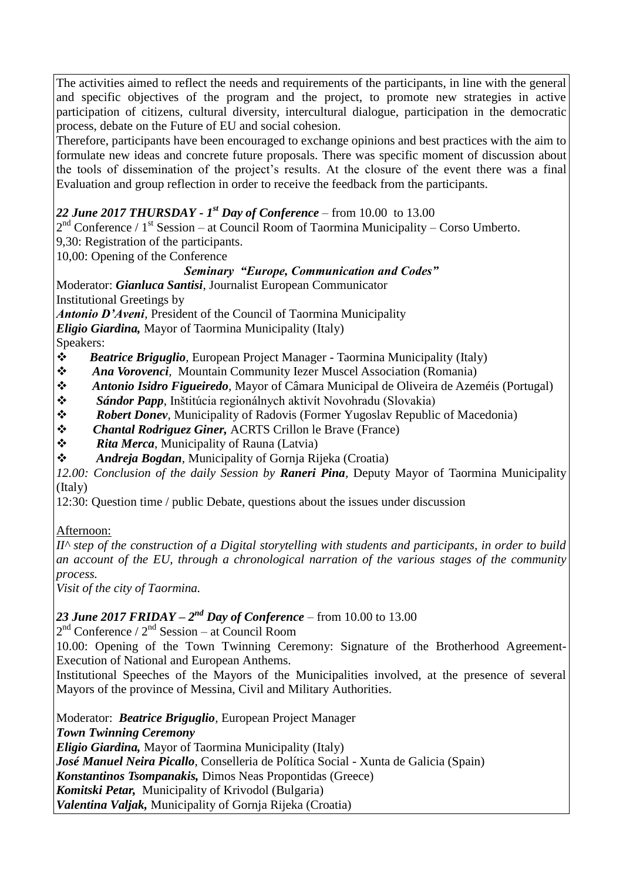The activities aimed to reflect the needs and requirements of the participants, in line with the general and specific objectives of the program and the project, to promote new strategies in active participation of citizens, cultural diversity, intercultural dialogue, participation in the democratic process, debate on the Future of EU and social cohesion.

Therefore, participants have been encouraged to exchange opinions and best practices with the aim to formulate new ideas and concrete future proposals. There was specific moment of discussion about the tools of dissemination of the project's results. At the closure of the event there was a final Evaluation and group reflection in order to receive the feedback from the participants.

#### *22 June 2017 THURSDAY - 1 st Day of Conference* – from 10.00 to 13.00

 $2<sup>nd</sup>$  Conference / 1<sup>st</sup> Session – at Council Room of Taormina Municipality – Corso Umberto.

9,30: Registration of the participants.

10,00: Opening of the Conference

#### *Seminary "Europe, Communication and Codes"*

Moderator: *Gianluca Santisi*, Journalist European Communicator Institutional Greetings by

*Antonio D'Aveni*, President of the Council of Taormina Municipality *Eligio Giardina,* Mayor of Taormina Municipality (Italy)

Speakers:

- *Beatrice Briguglio,* European Project Manager Taormina Municipality (Italy)
- *Ana Vorovenci,* Mountain Community Iezer Muscel Association (Romania)
- *Antonio Isidro Figueiredo,* Mayor of Câmara Municipal de Oliveira de Azeméis (Portugal)
- *Sándor Papp*, Inštitúcia regionálnych aktivít Novohradu (Slovakia)
- *Robert Donev*, Municipality of Radovis (Former Yugoslav Republic of Macedonia)
- *Chantal Rodriguez Giner,* ACRTS Crillon le Brave (France)
- *Rita Merca*, Municipality of Rauna (Latvia)
- *Andreja Bogdan*, Municipality of Gornja Rijeka (Croatia)

*12.00: Conclusion of the daily Session by Raneri Pina,* Deputy Mayor of Taormina Municipality (Italy)

12:30: Question time / public Debate, questions about the issues under discussion

#### Afternoon:

*II^ step of the construction of a Digital storytelling with students and participants, in order to build an account of the EU, through a chronological narration of the various stages of the community process.*

*Visit of the city of Taormina.*

#### **23 June 2017 FRIDAY –**  $2^{nd}$  **Day of Conference – from 10.00 to 13.00**

 $2<sup>nd</sup>$  Conference /  $2<sup>nd</sup>$  Session – at Council Room

10.00: Opening of the Town Twinning Ceremony: Signature of the Brotherhood Agreement-Execution of National and European Anthems.

Institutional Speeches of the Mayors of the Municipalities involved, at the presence of several Mayors of the province of Messina, Civil and Military Authorities.

Moderator: *Beatrice Briguglio,* European Project Manager *Town Twinning Ceremony Eligio Giardina,* Mayor of Taormina Municipality (Italy) *José Manuel Neira Picallo*, Conselleria de Política Social - Xunta de Galicia (Spain) *Konstantinos Tsompanakis,* Dimos Neas Propontidas (Greece) *Komitski Petar,* Municipality of Krivodol (Bulgaria) *Valentina Valjak,* Municipality of Gornja Rijeka (Croatia)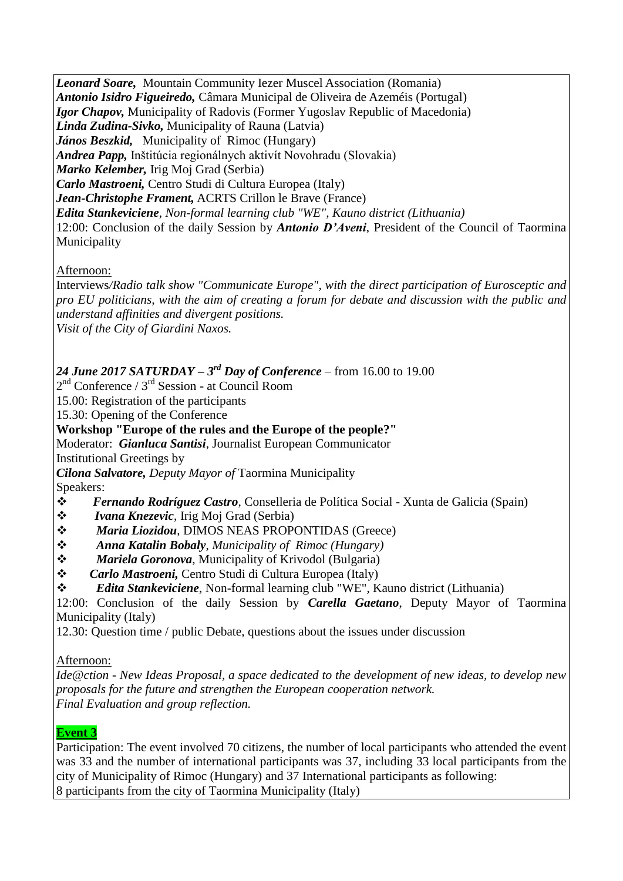*Leonard Soare,* Mountain Community Iezer Muscel Association (Romania) *Antonio Isidro Figueiredo,* Câmara Municipal de Oliveira de Azeméis (Portugal) *Igor Chapov,* Municipality of Radovis (Former Yugoslav Republic of Macedonia) *Linda Zudina-Sivko,* Municipality of Rauna (Latvia) *János Beszkid,* Municipality of Rimoc (Hungary) *Andrea Papp,* Inštitúcia regionálnych aktivít Novohradu (Slovakia) *Marko Kelember,* Irig Moj Grad (Serbia) *Carlo Mastroeni,* Centro Studi di Cultura Europea (Italy) *Jean-Christophe Frament,* ACRTS Crillon le Brave (France) *Edita Stankeviciene*, *Non-formal learning club "WE", Kauno district (Lithuania)* 12:00: Conclusion of the daily Session by *Antonio D'Aveni*, President of the Council of Taormina Municipality

### Afternoon:

Interviews*/Radio talk show "Communicate Europe", with the direct participation of Eurosceptic and pro EU politicians, with the aim of creating a forum for debate and discussion with the public and understand affinities and divergent positions. Visit of the City of Giardini Naxos.*

### *24 June 2017 SATURDAY – 3 rd Day of Conference* – from 16.00 to 19.00

2 nd Conference / 3rd Session - at Council Room

15.00: Registration of the participants

15.30: Opening of the Conference

### **Workshop "Europe of the rules and the Europe of the people?"**

Moderator: *Gianluca Santisi*, Journalist European Communicator

Institutional Greetings by

*Cilona Salvatore, Deputy Mayor of* Taormina Municipality

Speakers:

- *Fernando Rodríguez Castro,* Conselleria de Política Social Xunta de Galicia (Spain)
- *Ivana Knezevic*, Irig Moj Grad (Serbia)
- *Maria Liozidou*, DIMOS NEAS PROPONTIDAS (Greece)
- *Anna Katalin Bobaly*, *Municipality of Rimoc (Hungary)*
- *Mariela Goronova*, Municipality of Krivodol (Bulgaria)
- *Carlo Mastroeni,* Centro Studi di Cultura Europea (Italy)
- *Edita Stankeviciene*, Non-formal learning club "WE", Kauno district (Lithuania)

12:00: Conclusion of the daily Session by *Carella Gaetano*, Deputy Mayor of Taormina Municipality (Italy)

12.30: Question time / public Debate, questions about the issues under discussion

Afternoon:

*Ide@ction - New Ideas Proposal, a space dedicated to the development of new ideas, to develop new proposals for the future and strengthen the European cooperation network. Final Evaluation and group reflection.* 

### **Event 3**

Participation: The event involved 70 citizens, the number of local participants who attended the event was 33 and the number of international participants was 37, including 33 local participants from the city of Municipality of Rimoc (Hungary) and 37 International participants as following: 8 participants from the city of Taormina Municipality (Italy)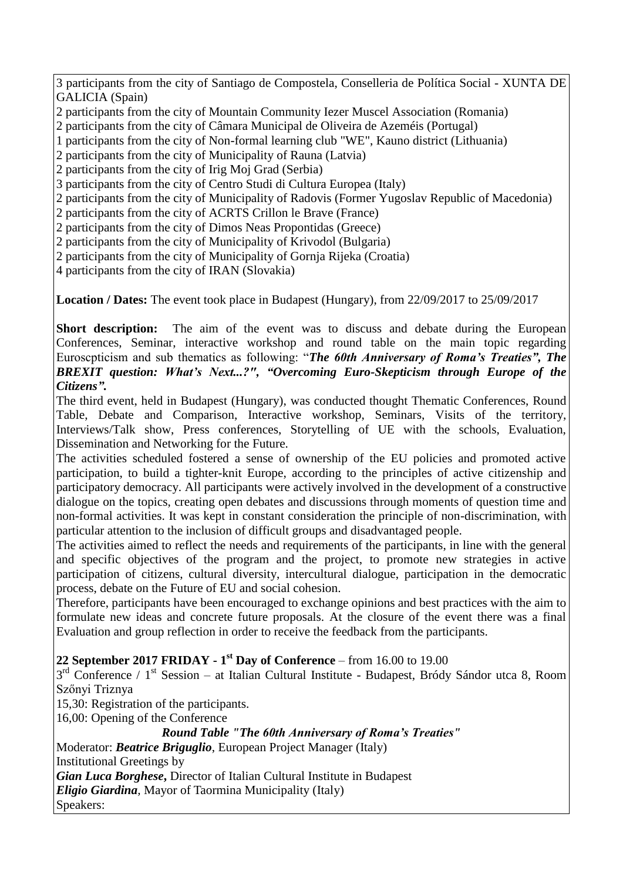3 participants from the city of Santiago de Compostela, Conselleria de Política Social - XUNTA DE GALICIA (Spain)

2 participants from the city of Mountain Community Iezer Muscel Association (Romania)

2 participants from the city of Câmara Municipal de Oliveira de Azeméis (Portugal)

- 1 participants from the city of Non-formal learning club "WE", Kauno district (Lithuania)
- 2 participants from the city of Municipality of Rauna (Latvia)
- 2 participants from the city of Irig Moj Grad (Serbia)
- 3 participants from the city of Centro Studi di Cultura Europea (Italy)
- 2 participants from the city of Municipality of Radovis (Former Yugoslav Republic of Macedonia)
- 2 participants from the city of ACRTS Crillon le Brave (France)
- 2 participants from the city of Dimos Neas Propontidas (Greece)
- 2 participants from the city of Municipality of Krivodol (Bulgaria)
- 2 participants from the city of Municipality of Gornja Rijeka (Croatia)
- 4 participants from the city of IRAN (Slovakia)

**Location / Dates:** The event took place in Budapest (Hungary), from 22/09/2017 to 25/09/2017

**Short description:** The aim of the event was to discuss and debate during the European Conferences, Seminar, interactive workshop and round table on the main topic regarding Euroscpticism and sub thematics as following: "*The 60th Anniversary of Roma's Treaties", The BREXIT question: What's Next...?", "Overcoming Euro-Skepticism through Europe of the Citizens".* 

The third event, held in Budapest (Hungary), was conducted thought Thematic Conferences, Round Table, Debate and Comparison, Interactive workshop, Seminars, Visits of the territory, Interviews/Talk show, Press conferences, Storytelling of UE with the schools, Evaluation, Dissemination and Networking for the Future.

The activities scheduled fostered a sense of ownership of the EU policies and promoted active participation, to build a tighter-knit Europe, according to the principles of active citizenship and participatory democracy. All participants were actively involved in the development of a constructive dialogue on the topics, creating open debates and discussions through moments of question time and non-formal activities. It was kept in constant consideration the principle of non-discrimination, with particular attention to the inclusion of difficult groups and disadvantaged people.

The activities aimed to reflect the needs and requirements of the participants, in line with the general and specific objectives of the program and the project, to promote new strategies in active participation of citizens, cultural diversity, intercultural dialogue, participation in the democratic process, debate on the Future of EU and social cohesion.

Therefore, participants have been encouraged to exchange opinions and best practices with the aim to formulate new ideas and concrete future proposals. At the closure of the event there was a final Evaluation and group reflection in order to receive the feedback from the participants.

# **22 September 2017 FRIDAY - 1 st Day of Conference** – from 16.00 to 19.00

3<sup>rd</sup> Conference / 1<sup>st</sup> Session – at Italian Cultural Institute - Budapest, Bródy Sándor utca 8, Room Szőnyi Triznya

15,30: Registration of the participants.

16,00: Opening of the Conference

*Round Table "The 60th Anniversary of Roma's Treaties"*

Moderator: *Beatrice Briguglio*, European Project Manager (Italy) Institutional Greetings by *Gian Luca Borghese***,** Director of Italian Cultural Institute in Budapest *Eligio Giardina,* Mayor of Taormina Municipality (Italy) Speakers: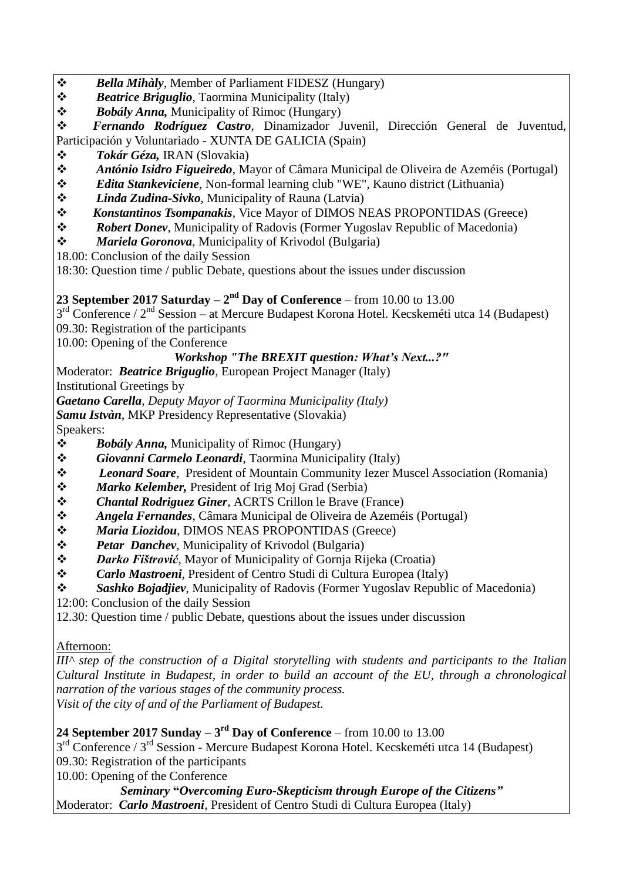- *Bella Mihàly*, Member of Parliament FIDESZ (Hungary)
- *Beatrice Briguglio*, Taormina Municipality (Italy)
- *Bobály Anna,* Municipality of Rimoc (Hungary)

 *Fernando Rodríguez Castro,* Dinamizador Juvenil, Dirección General de Juventud, Participación y Voluntariado - XUNTA DE GALICIA (Spain)

- *Tokár Géza,* IRAN (Slovakia)
- *António Isidro Figueiredo*, Mayor of Câmara Municipal de Oliveira de Azeméis (Portugal)
- *Edita Stankeviciene*, Non-formal learning club "WE", Kauno district (Lithuania)
- *Linda Zudina-Sivko*, Municipality of Rauna (Latvia)
- *Konstantinos Tsompanakis,* Vice Mayor of DIMOS NEAS PROPONTIDAS (Greece)
- *Robert Donev*, Municipality of Radovis (Former Yugoslav Republic of Macedonia)
- *Mariela Goronova*, Municipality of Krivodol (Bulgaria)
- 18.00: Conclusion of the daily Session

18:30: Question time / public Debate, questions about the issues under discussion

# **23 September 2017 Saturday**  $- 2<sup>nd</sup>$  **Day of Conference – from 10.00 to 13.00**

3<sup>rd</sup> Conference / 2<sup>nd</sup> Session – at Mercure Budapest Korona Hotel. Kecskeméti utca 14 (Budapest) 09.30: Registration of the participants

10.00: Opening of the Conference

# *Workshop "The BREXIT question: What's Next...?"*

Moderator: *Beatrice Briguglio*, European Project Manager (Italy)

Institutional Greetings by

*Gaetano Carella*, *Deputy Mayor of Taormina Municipality (Italy)*

*Samu Istvàn*, MKP Presidency Representative (Slovakia)

Speakers:

- *Bobály Anna,* Municipality of Rimoc (Hungary)
- *Giovanni Carmelo Leonardi*, Taormina Municipality (Italy)
- *Leonard Soare,* President of Mountain Community Iezer Muscel Association (Romania)
- *Marko Kelember,* President of Irig Moj Grad (Serbia)
- *Chantal Rodriguez Giner*, ACRTS Crillon le Brave (France)
- *Angela Fernandes*, Câmara Municipal de Oliveira de Azeméis (Portugal)
- *Maria Liozidou*, DIMOS NEAS PROPONTIDAS (Greece)
- *Petar Danchev*, Municipality of Krivodol (Bulgaria)
- *Darko Fištrović*, Mayor of Municipality of Gornja Rijeka (Croatia)
- *Carlo Mastroeni*, President of Centro Studi di Cultura Europea (Italy)
- *Sashko Bojadjiev*, Municipality of Radovis (Former Yugoslav Republic of Macedonia)
- 12:00: Conclusion of the daily Session
- 12.30: Question time / public Debate, questions about the issues under discussion

# Afternoon:

*III^ step of the construction of a Digital storytelling with students and participants to the Italian Cultural Institute in Budapest, in order to build an account of the EU, through a chronological narration of the various stages of the community process. Visit of the city of and of the Parliament of Budapest.* 

**24 September 2017 Sunday – 3 rd Day of Conference** – from 10.00 to 13.00

3<sup>rd</sup> Conference / 3<sup>rd</sup> Session - Mercure Budapest Korona Hotel. Kecskeméti utca 14 (Budapest)

09.30: Registration of the participants

10.00: Opening of the Conference

*Seminary* **"***Overcoming Euro-Skepticism through Europe of the Citizens"* Moderator: *Carlo Mastroeni*, President of Centro Studi di Cultura Europea (Italy)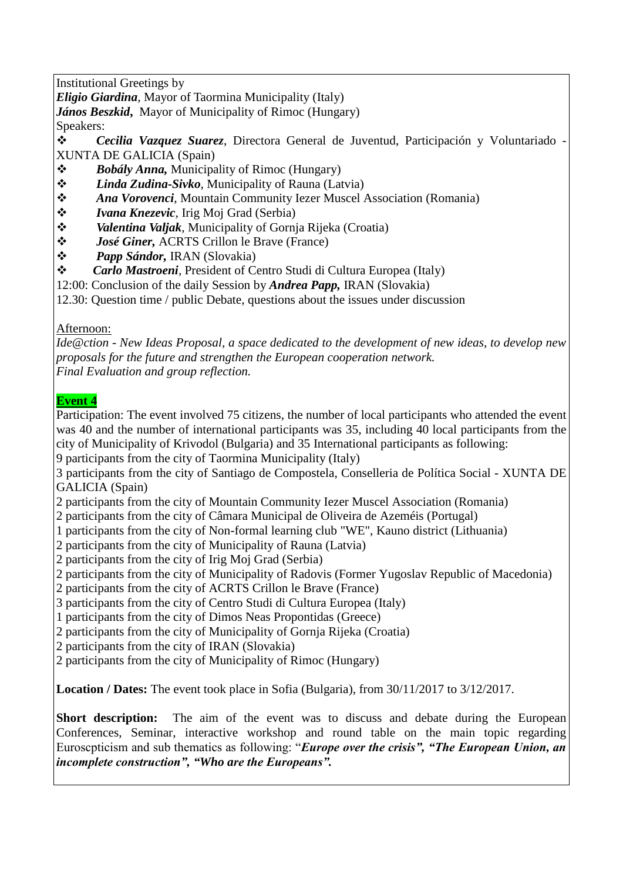Institutional Greetings by

*Eligio Giardina,* Mayor of Taormina Municipality (Italy)

*János Beszkid***,**Mayor of Municipality of Rimoc (Hungary)

Speakers:

 *Cecilia Vazquez Suarez*, Directora General de Juventud, Participación y Voluntariado - XUNTA DE GALICIA (Spain)

- *Bobály Anna,* Municipality of Rimoc (Hungary)
- *Linda Zudina-Sivko*, Municipality of Rauna (Latvia)
- *Ana Vorovenci*, Mountain Community Iezer Muscel Association (Romania)
- *Ivana Knezevic*, Irig Moj Grad (Serbia)
- *Valentina Valjak,* Municipality of Gornja Rijeka (Croatia)
- *José Giner,* ACRTS Crillon le Brave (France)
- *Papp Sándor,* IRAN (Slovakia)
- *Carlo Mastroeni,* President of Centro Studi di Cultura Europea (Italy)
- 12:00: Conclusion of the daily Session by *Andrea Papp,* IRAN (Slovakia)

12.30: Question time / public Debate, questions about the issues under discussion

### Afternoon:

*Ide@ction - New Ideas Proposal, a space dedicated to the development of new ideas, to develop new proposals for the future and strengthen the European cooperation network. Final Evaluation and group reflection.* 

# **Event 4**

Participation: The event involved 75 citizens, the number of local participants who attended the event was 40 and the number of international participants was 35, including 40 local participants from the city of Municipality of Krivodol (Bulgaria) and 35 International participants as following:

9 participants from the city of Taormina Municipality (Italy)

3 participants from the city of Santiago de Compostela, Conselleria de Política Social - XUNTA DE GALICIA (Spain)

- 2 participants from the city of Mountain Community Iezer Muscel Association (Romania)
- 2 participants from the city of Câmara Municipal de Oliveira de Azeméis (Portugal)
- 1 participants from the city of Non-formal learning club "WE", Kauno district (Lithuania)
- 2 participants from the city of Municipality of Rauna (Latvia)
- 2 participants from the city of Irig Moj Grad (Serbia)
- 2 participants from the city of Municipality of Radovis (Former Yugoslav Republic of Macedonia)
- 2 participants from the city of ACRTS Crillon le Brave (France)
- 3 participants from the city of Centro Studi di Cultura Europea (Italy)
- 1 participants from the city of Dimos Neas Propontidas (Greece)
- 2 participants from the city of Municipality of Gornja Rijeka (Croatia)
- 2 participants from the city of IRAN (Slovakia)
- 2 participants from the city of Municipality of Rimoc (Hungary)

**Location / Dates:** The event took place in Sofia (Bulgaria), from 30/11/2017 to 3/12/2017.

**Short description:** The aim of the event was to discuss and debate during the European Conferences, Seminar, interactive workshop and round table on the main topic regarding Euroscpticism and sub thematics as following: "*Europe over the crisis", "The European Union, an incomplete construction", "Who are the Europeans".*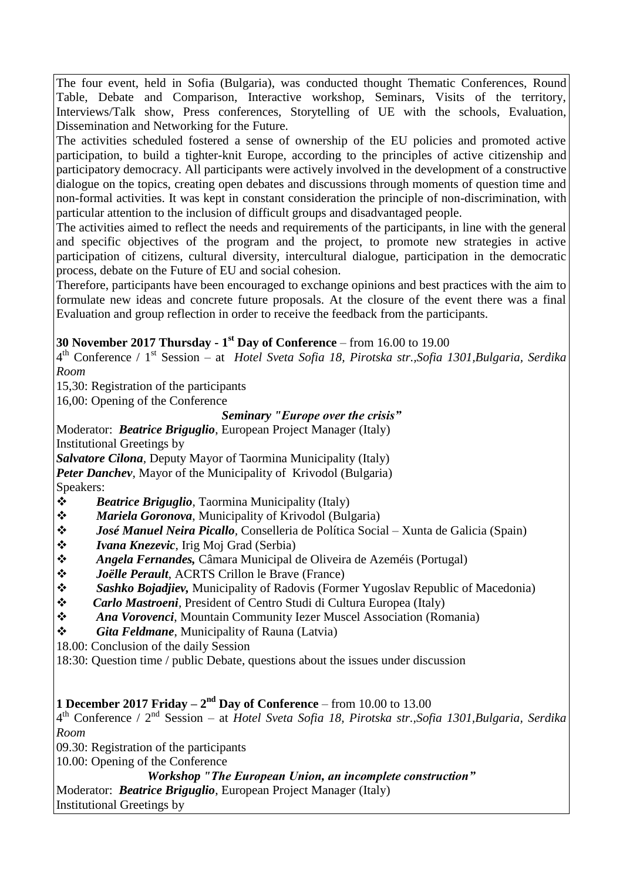The four event, held in Sofia (Bulgaria), was conducted thought Thematic Conferences, Round Table, Debate and Comparison, Interactive workshop, Seminars, Visits of the territory, Interviews/Talk show, Press conferences, Storytelling of UE with the schools, Evaluation, Dissemination and Networking for the Future.

The activities scheduled fostered a sense of ownership of the EU policies and promoted active participation, to build a tighter-knit Europe, according to the principles of active citizenship and participatory democracy. All participants were actively involved in the development of a constructive dialogue on the topics, creating open debates and discussions through moments of question time and non-formal activities. It was kept in constant consideration the principle of non-discrimination, with particular attention to the inclusion of difficult groups and disadvantaged people.

The activities aimed to reflect the needs and requirements of the participants, in line with the general and specific objectives of the program and the project, to promote new strategies in active participation of citizens, cultural diversity, intercultural dialogue, participation in the democratic process, debate on the Future of EU and social cohesion.

Therefore, participants have been encouraged to exchange opinions and best practices with the aim to formulate new ideas and concrete future proposals. At the closure of the event there was a final Evaluation and group reflection in order to receive the feedback from the participants.

**30 November 2017 Thursday - 1 st Day of Conference** – from 16.00 to 19.00

4 th Conference / 1st Session – at *Hotel Sveta Sofia 18, Pirotska str.,Sofia 1301,Bulgaria, Serdika Room*

15,30: Registration of the participants

16,00: Opening of the Conference

#### *Seminary "Europe over the crisis"*

Moderator: *Beatrice Briguglio*, European Project Manager (Italy) Institutional Greetings by

*Salvatore Cilona,* Deputy Mayor of Taormina Municipality (Italy)

*Peter Danchev*, Mayor of the Municipality of Krivodol (Bulgaria) Speakers:

- *Beatrice Briguglio*, Taormina Municipality (Italy)
- *Mariela Goronova*, Municipality of Krivodol (Bulgaria)
- *José Manuel Neira Picallo,* Conselleria de Política Social Xunta de Galicia (Spain)
- *Ivana Knezevic*, Irig Moj Grad (Serbia)
- *Angela Fernandes,* Câmara Municipal de Oliveira de Azeméis (Portugal)
- *Joëlle Perault*, ACRTS Crillon le Brave (France)
- *Sashko Bojadjiev,* Municipality of Radovis (Former Yugoslav Republic of Macedonia)
- *Carlo Mastroeni,* President of Centro Studi di Cultura Europea (Italy)
- *Ana Vorovenci*, Mountain Community Iezer Muscel Association (Romania)
- *Gita Feldmane*, Municipality of Rauna (Latvia)

18.00: Conclusion of the daily Session

18:30: Question time / public Debate, questions about the issues under discussion

### **1 December 2017 Friday –**  $2<sup>nd</sup>$  **Day of Conference – from 10.00 to 13.00**

4 th Conference / 2nd Session – at *Hotel Sveta Sofia 18, Pirotska str.,Sofia 1301,Bulgaria, Serdika Room*

09.30: Registration of the participants

10.00: Opening of the Conference

# *Workshop "The European Union, an incomplete construction"*

Moderator: *Beatrice Briguglio*, European Project Manager (Italy)

Institutional Greetings by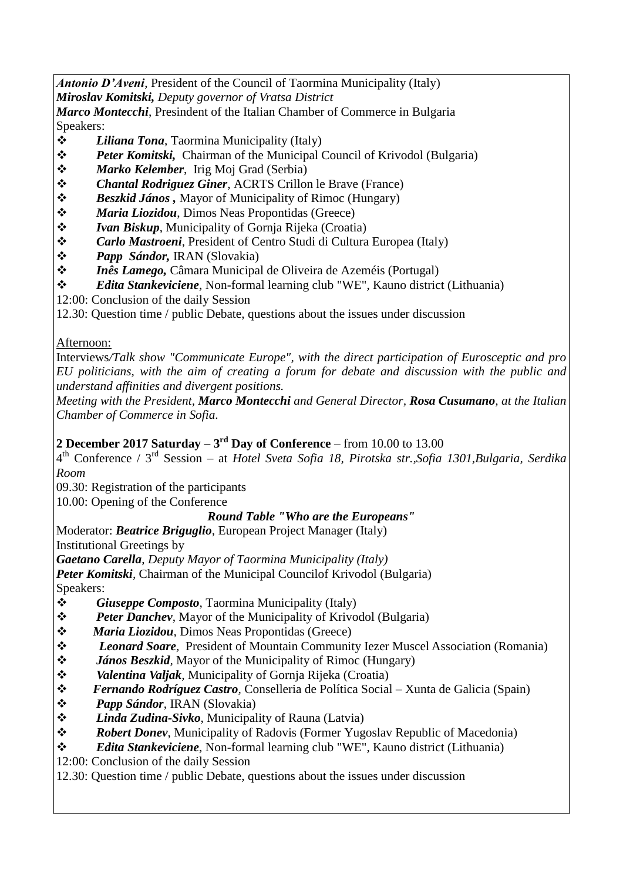*Antonio D'Aveni*, President of the Council of Taormina Municipality (Italy) *Miroslav Komitski, Deputy governor of Vratsa District*

*Marco Montecchi*, Presindent of the Italian Chamber of Commerce in Bulgaria Speakers:

- *Liliana Tona*, Taormina Municipality (Italy)
- *Peter Komitski,* Chairman of the Municipal Council of Krivodol (Bulgaria)
- *Marko Kelember*, Irig Moj Grad (Serbia)
- *Chantal Rodriguez Giner*, ACRTS Crillon le Brave (France)
- *❖ Beszkid János*, Mayor of Municipality of Rimoc (Hungary)
- *Maria Liozidou*, Dimos Neas Propontidas (Greece)
- *◆ Ivan Biskup*, Municipality of Gornja Rijeka (Croatia)<br>◆ *Carlo Mastroeni*, President of Centro Studi di Cultura
- *Carlo Mastroeni*, President of Centro Studi di Cultura Europea (Italy)
- **→ Papp Sándor, IRAN (Slovakia)**<br>◆ *Inês Lamego*, Câmara Municipal
- *Inês Lamego,* Câmara Municipal de Oliveira de Azeméis (Portugal)
- *Edita Stankeviciene*, Non-formal learning club "WE", Kauno district (Lithuania)
- 12:00: Conclusion of the daily Session

12.30: Question time / public Debate, questions about the issues under discussion

### Afternoon:

Interviews*/Talk show "Communicate Europe", with the direct participation of Eurosceptic and pro EU politicians, with the aim of creating a forum for debate and discussion with the public and understand affinities and divergent positions.*

*Meeting with the President, Marco Montecchi and General Director, Rosa Cusumano, at the Italian Chamber of Commerce in Sofia.*

### **2 December 2017 Saturday – 3 rd Day of Conference** – from 10.00 to 13.00

4 th Conference / 3rd Session – at *Hotel Sveta Sofia 18, Pirotska str.,Sofia 1301,Bulgaria, Serdika Room*

09.30: Registration of the participants

10.00: Opening of the Conference

# *Round Table "Who are the Europeans"*

Moderator: *Beatrice Briguglio*, European Project Manager (Italy)

Institutional Greetings by

*Gaetano Carella*, *Deputy Mayor of Taormina Municipality (Italy)*

*Peter Komitski*, Chairman of the Municipal Councilof Krivodol (Bulgaria) Speakers:

*Giuseppe Composto*, Taormina Municipality (Italy)

- *Peter Danchev*, Mayor of the Municipality of Krivodol (Bulgaria)
- *Maria Liozidou,* Dimos Neas Propontidas (Greece)
- *Leonard Soare,* President of Mountain Community Iezer Muscel Association (Romania)
- *János Beszkid,* Mayor of the Municipality of Rimoc (Hungary)
- *Valentina Valjak,* Municipality of Gornja Rijeka (Croatia)
- *Fernando Rodríguez Castro,* Conselleria de Política Social Xunta de Galicia (Spain)
- *Papp Sándor*, IRAN (Slovakia)
- *Linda Zudina-Sivko*, Municipality of Rauna (Latvia)
- *Robert Donev*, Municipality of Radovis (Former Yugoslav Republic of Macedonia)

*Edita Stankeviciene*, Non-formal learning club "WE", Kauno district (Lithuania)

12:00: Conclusion of the daily Session

12.30: Question time / public Debate, questions about the issues under discussion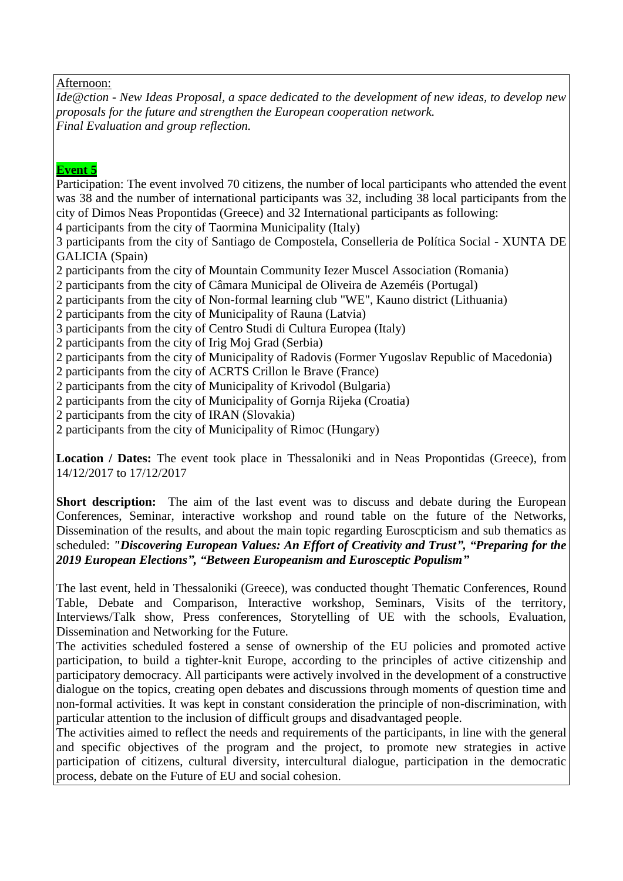#### Afternoon:

*Ide@ction - New Ideas Proposal, a space dedicated to the development of new ideas, to develop new proposals for the future and strengthen the European cooperation network. Final Evaluation and group reflection.* 

#### **Event 5**

Participation: The event involved 70 citizens, the number of local participants who attended the event was 38 and the number of international participants was 32, including 38 local participants from the city of Dimos Neas Propontidas (Greece) and 32 International participants as following: 4 participants from the city of Taormina Municipality (Italy) 3 participants from the city of Santiago de Compostela, Conselleria de Política Social - XUNTA DE GALICIA (Spain) 2 participants from the city of Mountain Community Iezer Muscel Association (Romania) 2 participants from the city of Câmara Municipal de Oliveira de Azeméis (Portugal) 2 participants from the city of Non-formal learning club "WE", Kauno district (Lithuania) 2 participants from the city of Municipality of Rauna (Latvia) 3 participants from the city of Centro Studi di Cultura Europea (Italy) 2 participants from the city of Irig Moj Grad (Serbia) 2 participants from the city of Municipality of Radovis (Former Yugoslav Republic of Macedonia) 2 participants from the city of ACRTS Crillon le Brave (France) 2 participants from the city of Municipality of Krivodol (Bulgaria) 2 participants from the city of Municipality of Gornja Rijeka (Croatia) 2 participants from the city of IRAN (Slovakia) 2 participants from the city of Municipality of Rimoc (Hungary) **Location / Dates:** The event took place in Thessaloniki and in Neas Propontidas (Greece), from 14/12/2017 to 17/12/2017

**Short description:** The aim of the last event was to discuss and debate during the European Conferences, Seminar, interactive workshop and round table on the future of the Networks, Dissemination of the results, and about the main topic regarding Euroscpticism and sub thematics as scheduled: *"Discovering European Values: An Effort of Creativity and Trust", "Preparing for the 2019 European Elections", "Between Europeanism and Eurosceptic Populism"*

The last event, held in Thessaloniki (Greece), was conducted thought Thematic Conferences, Round Table, Debate and Comparison, Interactive workshop, Seminars, Visits of the territory, Interviews/Talk show, Press conferences, Storytelling of UE with the schools, Evaluation, Dissemination and Networking for the Future.

The activities scheduled fostered a sense of ownership of the EU policies and promoted active participation, to build a tighter-knit Europe, according to the principles of active citizenship and participatory democracy. All participants were actively involved in the development of a constructive dialogue on the topics, creating open debates and discussions through moments of question time and non-formal activities. It was kept in constant consideration the principle of non-discrimination, with particular attention to the inclusion of difficult groups and disadvantaged people.

The activities aimed to reflect the needs and requirements of the participants, in line with the general and specific objectives of the program and the project, to promote new strategies in active participation of citizens, cultural diversity, intercultural dialogue, participation in the democratic process, debate on the Future of EU and social cohesion.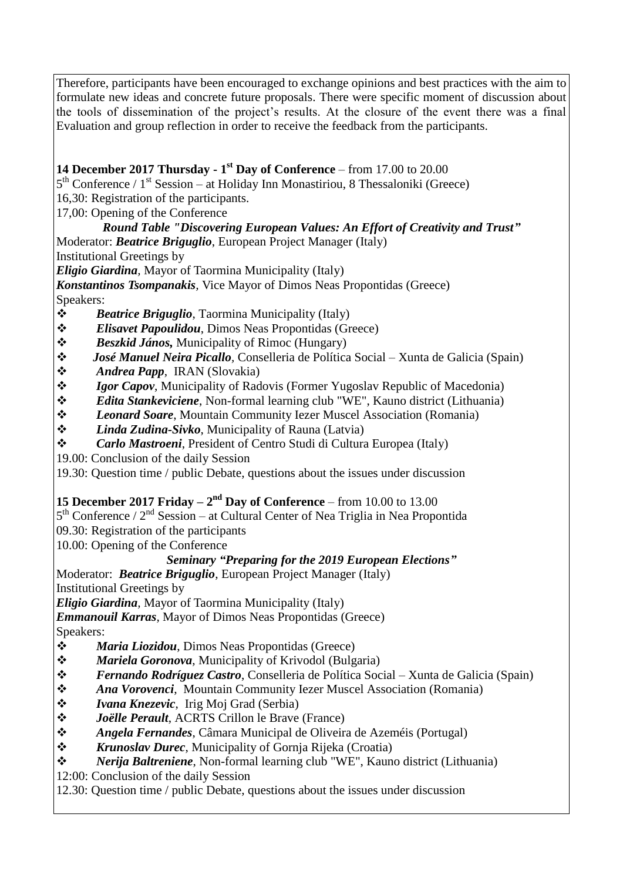Therefore, participants have been encouraged to exchange opinions and best practices with the aim to formulate new ideas and concrete future proposals. There were specific moment of discussion about the tools of dissemination of the project's results. At the closure of the event there was a final Evaluation and group reflection in order to receive the feedback from the participants.

### **14 December 2017 Thursday - 1 st Day of Conference** – from 17.00 to 20.00

5<sup>th</sup> Conference / 1<sup>st</sup> Session – at Holiday Inn Monastiriou, 8 Thessaloniki (Greece)

16,30: Registration of the participants.

17,00: Opening of the Conference

# *Round Table "Discovering European Values: An Effort of Creativity and Trust"*

Moderator: *Beatrice Briguglio*, European Project Manager (Italy)

Institutional Greetings by

*Eligio Giardina,* Mayor of Taormina Municipality (Italy)

*Konstantinos Tsompanakis,* Vice Mayor of Dimos Neas Propontidas (Greece) Speakers:

- *Beatrice Briguglio*, Taormina Municipality (Italy)
- *Elisavet Papoulidou*, Dimos Neas Propontidas (Greece)
- *Beszkid János,* Municipality of Rimoc (Hungary)
- *José Manuel Neira Picallo,* Conselleria de Política Social Xunta de Galicia (Spain)
- *Andrea Papp*, IRAN (Slovakia)
- *❖ Igor Capov*, Municipality of Radovis (Former Yugoslav Republic of Macedonia)
- *Edita Stankeviciene*, Non-formal learning club "WE", Kauno district (Lithuania)
- *Leonard Soare*, Mountain Community Iezer Muscel Association (Romania)
- *Linda Zudina-Sivko*, Municipality of Rauna (Latvia)
- *Carlo Mastroeni*, President of Centro Studi di Cultura Europea (Italy)
- 19.00: Conclusion of the daily Session

19.30: Question time / public Debate, questions about the issues under discussion

### **15 December 2017 Friday –**  $2<sup>nd</sup>$  **Day of Conference – from 10.00 to 13.00**

5<sup>th</sup> Conference / 2<sup>nd</sup> Session – at Cultural Center of Nea Triglia in Nea Propontida

09.30: Registration of the participants

10.00: Opening of the Conference

### *Seminary "Preparing for the 2019 European Elections"*

Moderator: *Beatrice Briguglio*, European Project Manager (Italy)

Institutional Greetings by

*Eligio Giardina,* Mayor of Taormina Municipality (Italy)

*Emmanouil Karras,* Mayor of Dimos Neas Propontidas (Greece)

Speakers:

- *Maria Liozidou*, Dimos Neas Propontidas (Greece)
- *Mariela Goronova*, Municipality of Krivodol (Bulgaria)
- *Fernando Rodríguez Castro*, Conselleria de Política Social Xunta de Galicia (Spain)
- *Ana Vorovenci*, Mountain Community Iezer Muscel Association (Romania)
- *Ivana Knezevic*, Irig Moj Grad (Serbia)
- *Joëlle Perault*, ACRTS Crillon le Brave (France)
- *Angela Fernandes*, Câmara Municipal de Oliveira de Azeméis (Portugal)
- *Krunoslav Durec*, Municipality of Gornja Rijeka (Croatia)
- *Nerija Baltreniene*, Non-formal learning club "WE", Kauno district (Lithuania)

12:00: Conclusion of the daily Session

12.30: Question time / public Debate, questions about the issues under discussion